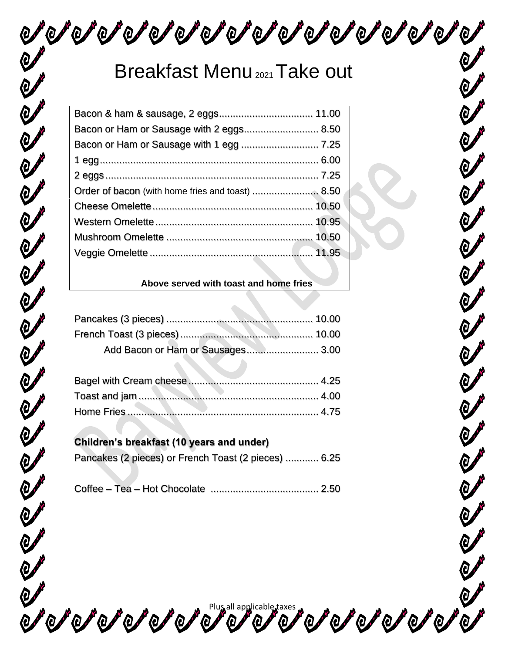うくうさくひょうさんじょうきこくのようきこくのようりのようりの

## Breakfast Menu<sub>2021</sub> Take out

| Bacon or Ham or Sausage with 2 eggs 8.50 |  |
|------------------------------------------|--|
|                                          |  |
|                                          |  |
|                                          |  |
|                                          |  |
|                                          |  |
|                                          |  |
|                                          |  |
|                                          |  |
|                                          |  |

#### **Above served with toast and home fries**

| Add Bacon or Ham or Sausages 3.00 |  |
|-----------------------------------|--|

### **Children's breakfast (10 years and under)**

U

|  | Pancakes (2 pieces) or French Toast (2 pieces)  6.25 |  |
|--|------------------------------------------------------|--|
|--|------------------------------------------------------|--|

|--|--|

Percepted and a plus all applicable taxes part of a plus for a